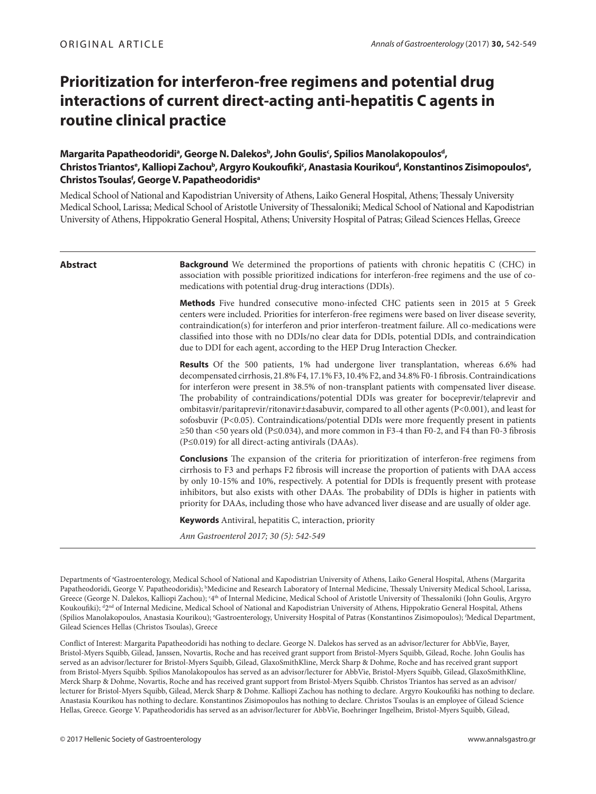# **Prioritization for interferon-free regimens and potential drug interactions of current direct-acting anti-hepatitis C agents in routine clinical practice**

# Margarita Papatheodoridi<sup>a</sup>, George N. Dalekosʰ, John Goulisʿ, Spilios Manolakopoulos<sup>d</sup>, **Christos Triantos°, Kalliopi Zachou<sup>b</sup>, Argyro Koukoufikiʿ, Anastasia Kourikou<sup>d</sup>, Konstantinos Zisimopoulos°, Christos Τsoulasf , George V. Papatheodoridisa**

Medical School of National and Kapodistrian University of Athens, Laiko General Hospital, Athens; Thessaly University Medical School, Larissa; Medical School of Aristotle University of Thessaloniki; Medical School of National and Kapodistrian University of Athens, Hippokratio General Hospital, Athens; University Hospital of Patras; Gilead Sciences Hellas, Greece

# **Abstract**

**Background** We determined the proportions of patients with chronic hepatitis C (CHC) in association with possible prioritized indications for interferon-free regimens and the use of comedications with potential drug-drug interactions (DDIs).

**Methods** Five hundred consecutive mono-infected CHC patients seen in 2015 at 5 Greek centers were included. Priorities for interferon-free regimens were based on liver disease severity, contraindication(s) for interferon and prior interferon-treatment failure. All co-medications were classified into those with no DDIs/no clear data for DDIs, potential DDIs, and contraindication due to DDI for each agent, according to the HEP Drug Interaction Checker.

**Results** Of the 500 patients, 1% had undergone liver transplantation, whereas 6.6% had decompensated cirrhosis, 21.8% F4, 17.1% F3, 10.4% F2, and 34.8% F0-1 fibrosis. Contraindications for interferon were present in 38.5% of non-transplant patients with compensated liver disease. The probability of contraindications/potential DDIs was greater for boceprevir/telaprevir and ombitasvir/paritaprevir/ritonavir±dasabuvir, compared to all other agents (P<0.001), and least for sofosbuvir (P<0.05). Contraindications/potential DDIs were more frequently present in patients ≥50 than <50 years old (P≤0.034), and more common in F3-4 than F0-2, and F4 than F0-3 fibrosis (P≤0.019) for all direct-acting antivirals (DAAs).

**Conclusions** The expansion of the criteria for prioritization of interferon-free regimens from cirrhosis to F3 and perhaps F2 fibrosis will increase the proportion of patients with DAA access by only 10-15% and 10%, respectively. A potential for DDIs is frequently present with protease inhibitors, but also exists with other DAAs. The probability of DDIs is higher in patients with priority for DAAs, including those who have advanced liver disease and are usually of older age.

**Keywords** Antiviral, hepatitis C, interaction, priority

*Ann Gastroenterol 2017; 30 (5): 542-549*

Departments of <sup>a</sup>Gastroenterology, Medical School of National and Kapodistrian University of Athens, Laiko General Hospital, Athens (Margarita Papatheodoridi, George V. Papatheodoridis); <sup>b</sup>Medicine and Research Laboratory of Internal Medicine, Thessaly University Medical School, Larissa, Greece (George N. Dalekos, Kalliopi Zachou); '4<sup>th</sup> of Internal Medicine, Medical School of Aristotle University of Thessaloniki (John Goulis, Argyro Koukoufiki); <sup>4</sup>2<sup>nd</sup> of Internal Medicine, Medical School of National and Kapodistrian University of Athens, Hippokratio General Hospital, Athens (Spilios Manolakopoulos, Anastasia Kourikou); e Gastroenterology, University Hospital of Patras (Konstantinos Zisimopoulos); f Medical Department, Gilead Sciences Hellas (Christos Tsoulas), Greece

Conflict of Interest: Μargarita Papatheodoridi has nothing to declare. George N. Dalekos has served as an advisor/lecturer for AbbVie, Bayer, Bristol-Myers Squibb, Gilead, Janssen, Novartis, Roche and has received grant support from Bristol-Myers Squibb, Gilead, Roche. John Goulis has served as an advisor/lecturer for Bristol-Myers Squibb, Gilead, GlaxoSmithKline, Merck Sharp & Dohme, Roche and has received grant support from Bristol-Myers Squibb. Spilios Manolakopoulos has served as an advisor/lecturer for AbbVie, Bristol-Myers Squibb, Gilead, GlaxoSmithKline, Merck Sharp & Dohme, Novartis, Roche and has received grant support from Bristol-Myers Squibb. Christos Triantos has served as an advisor/ lecturer for Bristol-Myers Squibb, Gilead, Merck Sharp & Dohme. Kalliopi Zachou has nothing to declare. Argyro Koukoufiki has nothing to declare. Αnastasia Κourikou has nothing to declare. Κonstantinos Ζisimopoulos has nothing to declare. Christos Τsoulas is an employee of Gilead Science Hellas, Greece. George V. Papatheodoridis has served as an advisor/lecturer for AbbVie, Boehringer Ingelheim, Bristol-Myers Squibb, Gilead,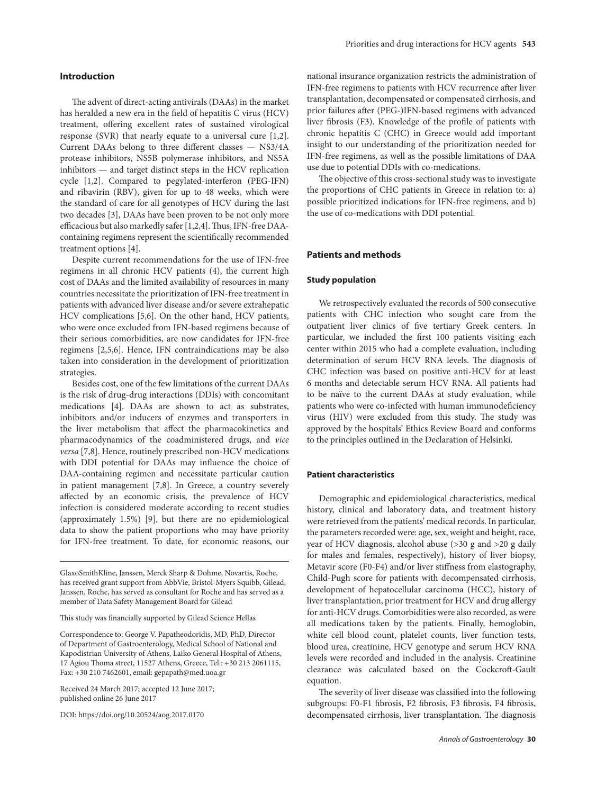# **Introduction**

The advent of direct-acting antivirals (DAAs) in the market has heralded a new era in the field of hepatitis C virus (HCV) treatment, offering excellent rates of sustained virological response (SVR) that nearly equate to a universal cure [1,2]. Current DAAs belong to three different classes — NS3/4A protease inhibitors, NS5B polymerase inhibitors, and NS5A inhibitors — and target distinct steps in the HCV replication cycle [1,2]. Compared to pegylated-interferon (PEG-IFN) and ribavirin (RBV), given for up to 48 weeks, which were the standard of care for all genotypes of HCV during the last two decades [3], DAAs have been proven to be not only more efficacious but also markedly safer [1,2,4]. Thus, IFN-free DAAcontaining regimens represent the scientifically recommended treatment options [4].

Despite current recommendations for the use of IFN-free regimens in all chronic HCV patients (4), the current high cost of DAAs and the limited availability of resources in many countries necessitate the prioritization of IFN-free treatment in patients with advanced liver disease and/or severe extrahepatic HCV complications [5,6]. On the other hand, HCV patients, who were once excluded from IFN-based regimens because of their serious comorbidities, are now candidates for IFN-free regimens [2,5,6]. Hence, IFN contraindications may be also taken into consideration in the development of prioritization strategies.

Besides cost, one of the few limitations of the current DAAs is the risk of drug-drug interactions (DDIs) with concomitant medications [4]. DAAs are shown to act as substrates, inhibitors and/or inducers of enzymes and transporters in the liver metabolism that affect the pharmacokinetics and pharmacodynamics of the coadministered drugs, and *vice versa* [7,8]. Hence, routinely prescribed non-HCV medications with DDI potential for DAAs may influence the choice of DAA-containing regimen and necessitate particular caution in patient management [7,8]. In Greece, a country severely affected by an economic crisis, the prevalence of HCV infection is considered moderate according to recent studies (approximately 1.5%) [9], but there are no epidemiological data to show the patient proportions who may have priority for IFN-free treatment. To date, for economic reasons, our

Received 24 March 2017; accepted 12 June 2017; published online 26 June 2017

DOI: https://doi.org/10.20524/aog.2017.0170

national insurance organization restricts the administration of IFN-free regimens to patients with HCV recurrence after liver transplantation, decompensated or compensated cirrhosis, and prior failures after (PEG-)IFN-based regimens with advanced liver fibrosis (F3). Knowledge of the profile of patients with chronic hepatitis C (CHC) in Greece would add important insight to our understanding of the prioritization needed for IFN-free regimens, as well as the possible limitations of DAA use due to potential DDIs with co-medications.

The objective of this cross-sectional study was to investigate the proportions of CHC patients in Greece in relation to: a) possible prioritized indications for IFN-free regimens, and b) the use of co-medications with DDI potential.

# **Patients and methods**

#### **Study population**

We retrospectively evaluated the records of 500 consecutive patients with CHC infection who sought care from the outpatient liver clinics of five tertiary Greek centers. In particular, we included the first 100 patients visiting each center within 2015 who had a complete evaluation, including determination of serum HCV RNA levels. The diagnosis of CHC infection was based on positive anti-HCV for at least 6 months and detectable serum HCV RNA. All patients had to be naïve to the current DAAs at study evaluation, while patients who were co-infected with human immunodeficiency virus (HIV) were excluded from this study. The study was approved by the hospitals' Ethics Review Board and conforms to the principles outlined in the Declaration of Helsinki.

#### **Patient characteristics**

Demographic and epidemiological characteristics, medical history, clinical and laboratory data, and treatment history were retrieved from the patients' medical records. In particular, the parameters recorded were: age, sex, weight and height, race, year of HCV diagnosis, alcohol abuse (>30 g and >20 g daily for males and females, respectively), history of liver biopsy, Metavir score (F0-F4) and/or liver stiffness from elastography, Child-Pugh score for patients with decompensated cirrhosis, development of hepatocellular carcinoma (HCC), history of liver transplantation, prior treatment for HCV and drug allergy for anti-HCV drugs. Comorbidities were also recorded, as were all medications taken by the patients. Finally, hemoglobin, white cell blood count, platelet counts, liver function tests, blood urea, creatinine, HCV genotype and serum HCV RNA levels were recorded and included in the analysis. Creatinine clearance was calculated based on the Cockcroft-Gault equation.

The severity of liver disease was classified into the following subgroups: F0-F1 fibrosis, F2 fibrosis, F3 fibrosis, F4 fibrosis, decompensated cirrhosis, liver transplantation. The diagnosis

GlaxoSmithKline, Janssen, Merck Sharp & Dohme, Novartis, Roche, has received grant support from AbbVie, Bristol-Myers Squibb, Gilead, Janssen, Roche, has served as consultant for Roche and has served as a member of Data Safety Management Board for Gilead

This study was financially supported by Gilead Science Hellas

Correspondence to: George V. Papatheodoridis, MD, PhD, Director of Department of Gastroenterology, Medical School of National and Kapodistrian University of Athens, Laiko General Hospital of Athens, 17 Agiou Thoma street, 11527 Athens, Greece, Tel.: +30 213 2061115, Fax: +30 210 7462601, email: gepapath@med.uoa.gr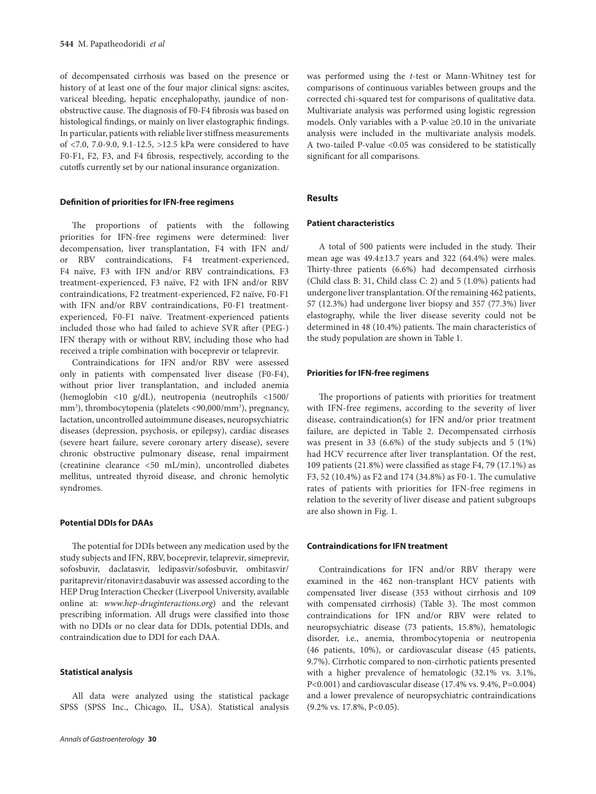of decompensated cirrhosis was based on the presence or history of at least one of the four major clinical signs: ascites, variceal bleeding, hepatic encephalopathy, jaundice of nonobstructive cause. The diagnosis of F0-F4 fibrosis was based on histological findings, or mainly on liver elastographic findings. In particular, patients with reliable liver stiffness measurements of <7.0, 7.0-9.0, 9.1-12.5, >12.5 kPa were considered to have F0-F1, F2, F3, and F4 fibrosis, respectively, according to the cutoffs currently set by our national insurance organization.

#### **Definition of priorities for IFN-free regimens**

The proportions of patients with the following priorities for IFN-free regimens were determined: liver decompensation, liver transplantation, F4 with IFN and/ or RBV contraindications, F4 treatment-experienced, F4 naïve, F3 with IFN and/or RBV contraindications, F3 treatment-experienced, F3 naïve, F2 with IFN and/or RBV contraindications, F2 treatment-experienced, F2 naïve, F0-F1 with IFN and/or RBV contraindications, F0-F1 treatmentexperienced, F0-F1 naïve. Treatment-experienced patients included those who had failed to achieve SVR after (PEG-) IFN therapy with or without RBV, including those who had received a triple combination with boceprevir or telaprevir.

Contraindications for IFN and/or RBV were assessed only in patients with compensated liver disease (F0-F4), without prior liver transplantation, and included anemia (hemoglobin <10 g/dL), neutropenia (neutrophils <1500/ mm<sup>3</sup>), thrombocytopenia (platelets <90,000/mm<sup>3</sup>), pregnancy, lactation, uncontrolled autoimmune diseases, neuropsychiatric diseases (depression, psychosis, or epilepsy), cardiac diseases (severe heart failure, severe coronary artery disease), severe chronic obstructive pulmonary disease, renal impairment (creatinine clearance <50 mL/min), uncontrolled diabetes mellitus, untreated thyroid disease, and chronic hemolytic syndromes.

#### **Potential DDIs for DAAs**

The potential for DDIs between any medication used by the study subjects and IFN, RBV, boceprevir, telaprevir, simeprevir, sofosbuvir, daclatasvir, ledipasvir/sofosbuvir, ombitasvir/ paritaprevir/ritonavir±dasabuvir was assessed according to the HEP Drug Interaction Checker (Liverpool University, available online at: *www.hep-druginteractions.org*) and the relevant prescribing information. All drugs were classified into those with no DDIs or no clear data for DDIs, potential DDIs, and contraindication due to DDI for each DAA.

# **Statistical analysis**

All data were analyzed using the statistical package SPSS (SPSS Inc., Chicago, IL, USA). Statistical analysis was performed using the *t*-test or Mann-Whitney test for comparisons of continuous variables between groups and the corrected chi-squared test for comparisons of qualitative data. Multivariate analysis was performed using logistic regression models. Only variables with a P-value ≥0.10 in the univariate analysis were included in the multivariate analysis models. A two-tailed P-value <0.05 was considered to be statistically significant for all comparisons.

# **Results**

### **Patient characteristics**

A total of 500 patients were included in the study. Their mean age was 49.4±13.7 years and 322 (64.4%) were males. Thirty-three patients (6.6%) had decompensated cirrhosis (Child class B: 31, Child class C: 2) and 5 (1.0%) patients had undergone liver transplantation. Of the remaining 462 patients, 57 (12.3%) had undergone liver biopsy and 357 (77.3%) liver elastography, while the liver disease severity could not be determined in 48 (10.4%) patients. The main characteristics of the study population are shown in Table 1.

#### **Priorities for IFN-free regimens**

The proportions of patients with priorities for treatment with IFN-free regimens, according to the severity of liver disease, contraindication(s) for IFN and/or prior treatment failure, are depicted in Table 2. Decompensated cirrhosis was present in 33 (6.6%) of the study subjects and 5 (1%) had HCV recurrence after liver transplantation. Of the rest, 109 patients (21.8%) were classified as stage F4, 79 (17.1%) as F3, 52 (10.4%) as F2 and 174 (34.8%) as F0-1. The cumulative rates of patients with priorities for IFN-free regimens in relation to the severity of liver disease and patient subgroups are also shown in Fig. 1.

#### **Contraindications for IFN treatment**

Contraindications for IFN and/or RBV therapy were examined in the 462 non-transplant HCV patients with compensated liver disease (353 without cirrhosis and 109 with compensated cirrhosis) (Table 3). The most common contraindications for IFN and/or RBV were related to neuropsychiatric disease (73 patients, 15.8%), hematologic disorder, i.e., anemia, thrombocytopenia or neutropenia (46 patients, 10%), or cardiovascular disease (45 patients, 9.7%). Cirrhotic compared to non-cirrhotic patients presented with a higher prevalence of hematologic (32.1% vs. 3.1%, P<0.001) and cardiovascular disease (17.4% vs. 9.4%, P=0.004) and a lower prevalence of neuropsychiatric contraindications (9.2% vs. 17.8%, P<0.05).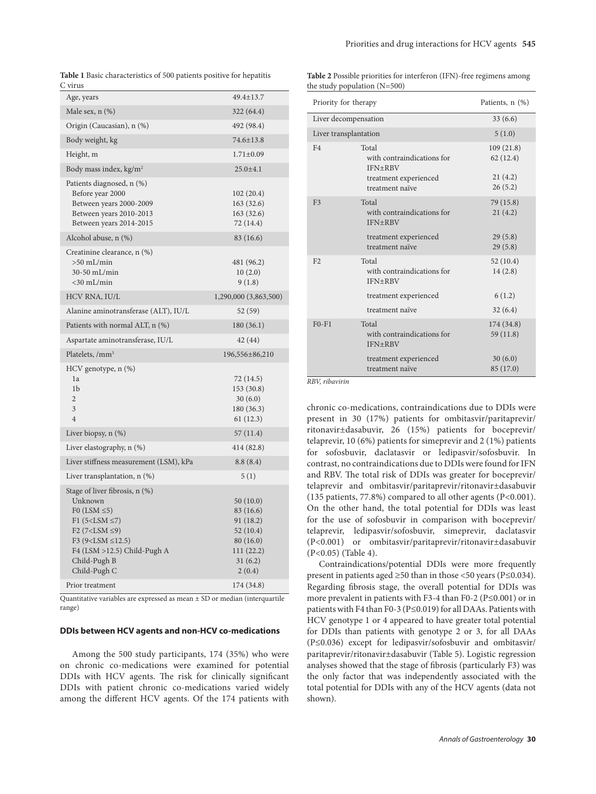| Priorities and drug interactions for HCV agents 545 |  |  |  |  |
|-----------------------------------------------------|--|--|--|--|
|-----------------------------------------------------|--|--|--|--|

**Table 1** Basic characteristics of 500 patients positive for hepatitis C virus

| Age, years                                                                                                                                                                                                                          | $49.4 \pm 13.7$                                                                               |
|-------------------------------------------------------------------------------------------------------------------------------------------------------------------------------------------------------------------------------------|-----------------------------------------------------------------------------------------------|
| Male sex, $n$ $(\%)$                                                                                                                                                                                                                | 322 (64.4)                                                                                    |
| Origin (Caucasian), n (%)                                                                                                                                                                                                           | 492 (98.4)                                                                                    |
| Body weight, kg                                                                                                                                                                                                                     | 74.6±13.8                                                                                     |
| Height, m                                                                                                                                                                                                                           | $1.71 \pm 0.09$                                                                               |
| Body mass index, kg/m <sup>2</sup>                                                                                                                                                                                                  | $25.0 + 4.1$                                                                                  |
| Patients diagnosed, n (%)<br>Before year 2000<br>Between years 2000-2009<br>Between years 2010-2013<br>Between years 2014-2015                                                                                                      | 102(20.4)<br>163(32.6)<br>163(32.6)<br>72 (14.4)                                              |
| Alcohol abuse, n (%)                                                                                                                                                                                                                | 83 (16.6)                                                                                     |
| Creatinine clearance, n (%)<br>$>50$ mL/min<br>30-50 mL/min<br>$<$ 30 mL/min                                                                                                                                                        | 481 (96.2)<br>10(2.0)<br>9(1.8)                                                               |
| HCV RNA, IU/L                                                                                                                                                                                                                       | 1,290,000 (3,863,500)                                                                         |
| Alanine aminotransferase (ALT), IU/L                                                                                                                                                                                                | 52 (59)                                                                                       |
| Patients with normal ALT, n (%)                                                                                                                                                                                                     | 180(36.1)                                                                                     |
| Aspartate aminotransferase, IU/L                                                                                                                                                                                                    | 42 (44)                                                                                       |
| Platelets, /mm <sup>3</sup>                                                                                                                                                                                                         | 196,556±86,210                                                                                |
| HCV genotype, n (%)<br>1a<br>1 <sub>b</sub><br>$\overline{2}$<br>3<br>$\overline{4}$                                                                                                                                                | 72 (14.5)<br>153 (30.8)<br>30(6.0)<br>180 (36.3)<br>61 (12.3)                                 |
| Liver biopsy, $n$ $(\%)$                                                                                                                                                                                                            | 57 (11.4)                                                                                     |
| Liver elastography, n (%)                                                                                                                                                                                                           | 414 (82.8)                                                                                    |
| Liver stiffness measurement (LSM), kPa                                                                                                                                                                                              | 8.8(8.4)                                                                                      |
| Liver transplantation, n (%)                                                                                                                                                                                                        | 5(1)                                                                                          |
| Stage of liver fibrosis, n (%)<br>Unknown<br>FO (LSM $\leq$ 5)<br>$F1$ (5 < LSM ≤ 7)<br>$F2$ (7 < LSM ≤ 9)<br>F3 (9 <lsm <math="">\leq12.5)<br/><math>F4</math> (LSM &gt;12.5) Child-Pugh A<br/>Child-Pugh B<br/>Child-Pugh C</lsm> | 50(10.0)<br>83 (16.6)<br>91(18.2)<br>52 (10.4)<br>80 (16.0)<br>111(22.2)<br>31(6.2)<br>2(0.4) |
| Prior treatment                                                                                                                                                                                                                     | 174 (34.8)                                                                                    |

Quantitative variables are expressed as mean ± SD or median (interquartile range)

#### **DDIs between HCV agents and non-HCV co-medications**

Among the 500 study participants, 174 (35%) who were on chronic co-medications were examined for potential DDIs with HCV agents. The risk for clinically significant DDIs with patient chronic co-medications varied widely among the different HCV agents. Of the 174 patients with

| Table 2 Possible priorities for interferon (IFN)-free regimens among |  |
|----------------------------------------------------------------------|--|
| the study population $(N=500)$                                       |  |

| Priority for therapy  | Patients, n (%)                                                         |                                  |  |
|-----------------------|-------------------------------------------------------------------------|----------------------------------|--|
| Liver decompensation  | 33(6.6)                                                                 |                                  |  |
| Liver transplantation |                                                                         | 5(1.0)                           |  |
| F <sub>4</sub>        | Total<br>with contraindications for<br>IFN+RBV<br>treatment experienced | 109(21.8)<br>62(12.4)<br>21(4.2) |  |
|                       | treatment naïve                                                         | 26(5.2)                          |  |
| F <sub>3</sub>        | Total<br>with contraindications for<br><b>IFN±RBV</b>                   | 79 (15.8)<br>21(4.2)             |  |
|                       | treatment experienced<br>treatment naïve                                | 29(5.8)<br>29(5.8)               |  |
| F <sub>2</sub>        | Total<br>with contraindications for<br>IFN+RBV                          | 52(10.4)<br>14(2.8)              |  |
|                       | treatment experienced                                                   | 6(1.2)                           |  |
|                       | treatment naïve                                                         | 32(6.4)                          |  |
| $F0-F1$               | Total<br>with contraindications for<br>IFN+RBV                          | 174 (34.8)<br>59(11.8)           |  |
|                       | treatment experienced<br>treatment naïve                                | 30(6.0)<br>85 (17.0)             |  |

*RBV, ribavirin*

chronic co-medications, contraindications due to DDIs were present in 30 (17%) patients for ombitasvir/paritaprevir/ ritonavir±dasabuvir, 26 (15%) patients for boceprevir/ telaprevir, 10 (6%) patients for simeprevir and 2 (1%) patients for sofosbuvir, daclatasvir or ledipasvir/sofosbuvir. In contrast, no contraindications due to DDIs were found for IFN and RBV. The total risk of DDIs was greater for boceprevir/ telaprevir and ombitasvir/paritaprevir/ritonavir±dasabuvir (135 patients, 77.8%) compared to all other agents (P<0.001). On the other hand, the total potential for DDIs was least for the use of sofosbuvir in comparison with boceprevir/ telaprevir, ledipasvir/sofosbuvir, simeprevir, daclatasvir (P<0.001) or ombitasvir/paritaprevir/ritonavir±dasabuvir (P<0.05) (Table 4).

Contraindications/potential DDIs were more frequently present in patients aged ≥50 than in those <50 years (P≤0.034). Regarding fibrosis stage, the overall potential for DDIs was more prevalent in patients with F3-4 than F0-2 (P≤0.001) or in patients with F4 than F0-3 (P≤0.019) for all DAAs. Patients with HCV genotype 1 or 4 appeared to have greater total potential for DDIs than patients with genotype 2 or 3, for all DAAs (P≤0.036) except for ledipasvir/sofosbuvir and ombitasvir/ paritaprevir/ritonavir±dasabuvir (Table 5). Logistic regression analyses showed that the stage of fibrosis (particularly F3) was the only factor that was independently associated with the total potential for DDIs with any of the HCV agents (data not shown).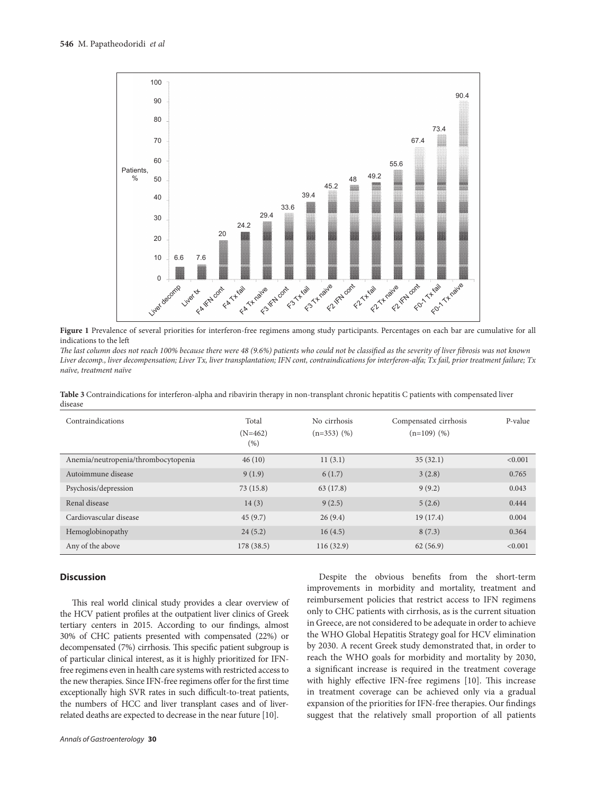

**Figure 1** Prevalence of several priorities for interferon-free regimens among study participants. Percentages on each bar are cumulative for all indications to the left

*The last column does not reach 100% because there were 48 (9.6%) patients who could not be classified as the severity of liver fibrosis was not known Liver decomp., liver decompensation; Liver Tx, liver transplantation; IFN cont, contraindications for interferon-alfa; Tx fail, prior treatment failure; Tx naïve, treatment naïve*

**Table 3** Contraindications for interferon-alpha and ribavirin therapy in non-transplant chronic hepatitis C patients with compensated liver disease

| Contraindications                   | Total<br>$(N=462)$<br>$(\% )$ | No cirrhosis<br>$(n=353)$ $(\%)$ | Compensated cirrhosis<br>$(n=109)$ $(\%)$ | P-value |
|-------------------------------------|-------------------------------|----------------------------------|-------------------------------------------|---------|
| Anemia/neutropenia/thrombocytopenia | 46(10)                        | 11(3.1)                          | 35(32.1)                                  | < 0.001 |
| Autoimmune disease                  | 9(1.9)                        | 6(1.7)                           | 3(2.8)                                    | 0.765   |
| Psychosis/depression                | 73(15.8)                      | 63 (17.8)                        | 9(9.2)                                    | 0.043   |
| Renal disease                       | 14(3)                         | 9(2.5)                           | 5(2.6)                                    | 0.444   |
| Cardiovascular disease              | 45(9.7)                       | 26(9.4)                          | 19(17.4)                                  | 0.004   |
| Hemoglobinopathy                    | 24(5.2)                       | 16(4.5)                          | 8(7.3)                                    | 0.364   |
| Any of the above                    | 178(38.5)                     | 116(32.9)                        | 62(56.9)                                  | < 0.001 |

# **Discussion**

This real world clinical study provides a clear overview of the HCV patient profiles at the outpatient liver clinics of Greek tertiary centers in 2015. According to our findings, almost 30% of CHC patients presented with compensated (22%) or decompensated (7%) cirrhosis. This specific patient subgroup is of particular clinical interest, as it is highly prioritized for IFNfree regimens even in health care systems with restricted access to the new therapies. Since IFN-free regimens offer for the first time exceptionally high SVR rates in such difficult-to-treat patients, the numbers of HCC and liver transplant cases and of liverrelated deaths are expected to decrease in the near future [10].

improvements in morbidity and mortality, treatment and reimbursement policies that restrict access to IFN regimens only to CHC patients with cirrhosis, as is the current situation in Greece, are not considered to be adequate in order to achieve the WHO Global Hepatitis Strategy goal for HCV elimination by 2030. A recent Greek study demonstrated that, in order to reach the WHO goals for morbidity and mortality by 2030, a significant increase is required in the treatment coverage with highly effective IFN-free regimens [10]. This increase in treatment coverage can be achieved only via a gradual expansion of the priorities for IFN-free therapies. Our findings suggest that the relatively small proportion of all patients

Despite the obvious benefits from the short-term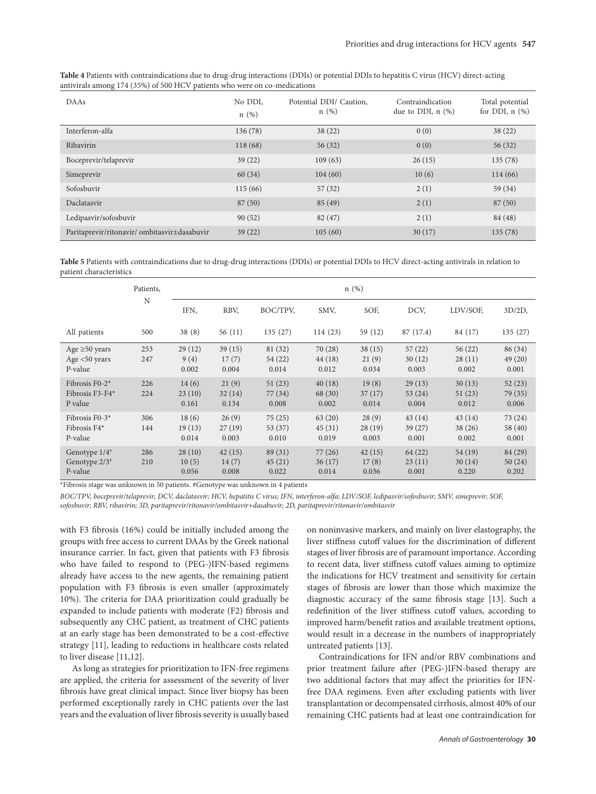| antivirals among 174 (35%) of 500 HCV patients who were on co-medications |                 |                                 |                                            |                                        |  |  |  |  |
|---------------------------------------------------------------------------|-----------------|---------------------------------|--------------------------------------------|----------------------------------------|--|--|--|--|
| DAAs                                                                      | No DDI,<br>n(%) | Potential DDI/ Caution,<br>n(%) | Contraindication<br>due to DDI, $n$ $(\%)$ | Total potential<br>for DDI, $n$ $(\%)$ |  |  |  |  |
| Interferon-alfa                                                           | 136(78)         | 38(22)                          | 0(0)                                       | 38(22)                                 |  |  |  |  |
| Ribavirin                                                                 | 118(68)         | 56(32)                          | 0(0)                                       | 56(32)                                 |  |  |  |  |
| Boceprevir/telaprevir                                                     | 39(22)          | 109(63)                         | 26(15)                                     | 135(78)                                |  |  |  |  |
| Simeprevir                                                                | 60(34)          | 104(60)                         | 10(6)                                      | 114 (66)                               |  |  |  |  |
| Sofosbuvir                                                                | 115(66)         | 57(32)                          | 2(1)                                       | 59 (34)                                |  |  |  |  |

**Table 4** Patients with contraindications due to drug-drug interactions (DDIs) or potential DDIs to hepatitis C virus (HCV) direct-acting

**Table 5** Patients with contraindications due to drug-drug interactions (DDIs) or potential DDIs to HCV direct-acting antivirals in relation to patient characteristics

Daclatasvir 87 (50) 87 (50) 85 (49) 2 (1) 87 (50) Ledipasvir/sofosbuvir 90 (52) 82 (47) 2 (1) 84 (48) Paritaprevir/ritonavir/ ombitasvir±dasabuvir 39 (22) 105 (60) 30 (17) 135 (78)

|                                                    | Patients,  | n(%)                     |                          |                             |                            |                          |                           |                           |                             |
|----------------------------------------------------|------------|--------------------------|--------------------------|-----------------------------|----------------------------|--------------------------|---------------------------|---------------------------|-----------------------------|
|                                                    | N          | IFN.                     | RBV.                     | BOC/TPV,                    | SMV.                       | SOF,                     | DCV,                      | LDV/SOF,                  | $3D/2D$ ,                   |
| All patients                                       | 500        | 38(8)                    | 56(11)                   | 135(27)                     | 114(23)                    | 59 (12)                  | 87 (17.4)                 | 84 (17)                   | 135(27)                     |
| Age $\geq 50$ years<br>Age $<$ 50 years<br>P-value | 253<br>247 | 29(12)<br>9(4)<br>0.002  | 39(15)<br>17(7)<br>0.004 | 81 (32)<br>54 (22)<br>0.014 | 70(28)<br>44(18)<br>0.012  | 38(15)<br>21(9)<br>0.034 | 57(22)<br>30(12)<br>0.003 | 56(22)<br>28(11)<br>0.002 | 86 (34)<br>49 (20)<br>0.001 |
| Fibrosis F0-2 $*$<br>Fibrosis F3-F4*<br>P value    | 226<br>224 | 14(6)<br>23(10)<br>0.161 | 21(9)<br>32(14)<br>0.134 | 51(23)<br>77 (34)<br>0.008  | 40(18)<br>68 (30)<br>0.002 | 19(8)<br>37(17)<br>0.014 | 29(13)<br>53(24)<br>0.004 | 30(13)<br>51(23)<br>0.012 | 52(23)<br>79 (35)<br>0.006  |
| Fibrosis F0-3 $*$<br>Fibrosis F4*<br>P-value       | 306<br>144 | 18(6)<br>19(13)<br>0.014 | 26(9)<br>27(19)<br>0.003 | 75(25)<br>53 (37)<br>0.010  | 63(20)<br>45(31)<br>0.019  | 28(9)<br>28(19)<br>0.003 | 43(14)<br>39(27)<br>0.001 | 43(14)<br>38(26)<br>0.002 | 73 (24)<br>58 (40)<br>0.001 |
| Genotype $1/4^*$<br>Genotype $2/3^*$<br>P-value    | 286<br>210 | 28(10)<br>10(5)<br>0.056 | 42(15)<br>14(7)<br>0.008 | 89 (31)<br>45(21)<br>0.022  | 77(26)<br>36(17)<br>0.014  | 42(15)<br>17(8)<br>0.036 | 64(22)<br>23(11)<br>0.001 | 54(19)<br>30(14)<br>0.220 | 84 (29)<br>50(24)<br>0.202  |

\*Fibrosis stage was unknown in 50 patients. #Genotype was unknown in 4 patients

*BOC/TPV, boceprevir/telaprevir; DCV, daclatasvir; HCV, hepatitis C virus; IFN, interferon-alfa; LDV/SOF, ledipasvir/sofosbuvir; SMV, simeprevir; SOF, sofosbuvir; RBV, ribavirin; 3D, paritaprevir/ritonavir/ombitasvir+dasabuvir; 2D, paritaprevir/ritonavir/ombitasvir*

with F3 fibrosis (16%) could be initially included among the groups with free access to current DAAs by the Greek national insurance carrier. In fact, given that patients with F3 fibrosis who have failed to respond to (PEG-)IFN-based regimens already have access to the new agents, the remaining patient population with F3 fibrosis is even smaller (approximately 10%). The criteria for DAA prioritization could gradually be expanded to include patients with moderate (F2) fibrosis and subsequently any CHC patient, as treatment of CHC patients at an early stage has been demonstrated to be a cost-effective strategy [11], leading to reductions in healthcare costs related to liver disease [11,12].

As long as strategies for prioritization to IFN-free regimens are applied, the criteria for assessment of the severity of liver fibrosis have great clinical impact. Since liver biopsy has been performed exceptionally rarely in CHC patients over the last years and the evaluation of liver fibrosis severity is usually based

on noninvasive markers, and mainly on liver elastography, the liver stiffness cutoff values for the discrimination of different stages of liver fibrosis are of paramount importance. According to recent data, liver stiffness cutoff values aiming to optimize the indications for HCV treatment and sensitivity for certain stages of fibrosis are lower than those which maximize the diagnostic accuracy of the same fibrosis stage [13]. Such a redefinition of the liver stiffness cutoff values, according to improved harm/benefit ratios and available treatment options, would result in a decrease in the numbers of inappropriately untreated patients [13].

Contraindications for IFN and/or RBV combinations and prior treatment failure after (PEG-)IFN-based therapy are two additional factors that may affect the priorities for IFNfree DAA regimens. Even after excluding patients with liver transplantation or decompensated cirrhosis, almost 40% of our remaining CHC patients had at least one contraindication for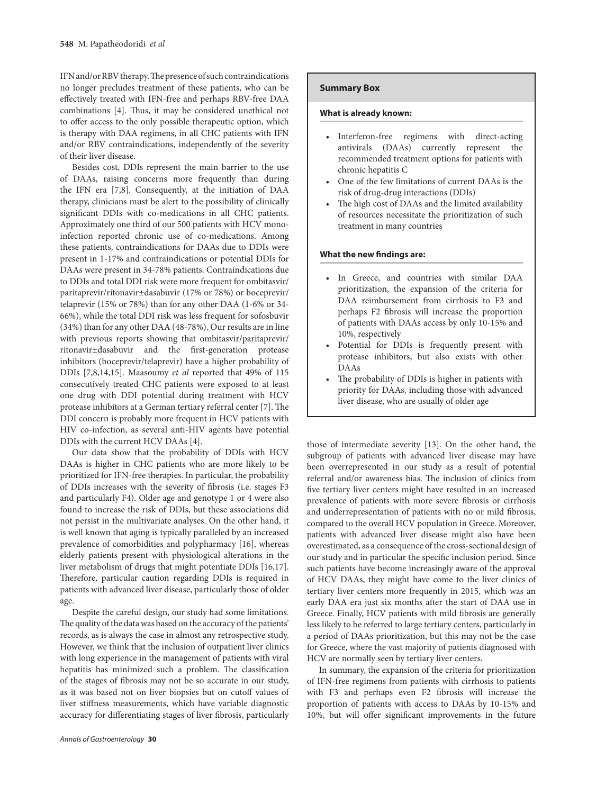IFN and/or RBV therapy. The presence of such contraindications no longer precludes treatment of these patients, who can be effectively treated with IFN-free and perhaps RBV-free DAA combinations [4]. Thus, it may be considered unethical not to offer access to the only possible therapeutic option, which is therapy with DAA regimens, in all CHC patients with IFN and/or RBV contraindications, independently of the severity of their liver disease.

Besides cost, DDIs represent the main barrier to the use of DAAs, raising concerns more frequently than during the IFN era [7,8]. Consequently, at the initiation of DAA therapy, clinicians must be alert to the possibility of clinically significant DDIs with co-medications in all CHC patients. Approximately one third of our 500 patients with HCV monoinfection reported chronic use of co-medications. Among these patients, contraindications for DAAs due to DDIs were present in 1-17% and contraindications or potential DDIs for DAAs were present in 34-78% patients. Contraindications due to DDIs and total DDI risk were more frequent for ombitasvir/ paritaprevir/ritonavir±dasabuvir (17% or 78%) or boceprevir/ telaprevir (15% or 78%) than for any other DAA (1-6% or 34- 66%), while the total DDI risk was less frequent for sofosbuvir (34%) than for any other DAA (48-78%). Our results are in line with previous reports showing that ombitasvir/paritaprevir/ ritonavir±dasabuvir and the first-generation protease inhibitors (boceprevir/telaprevir) have a higher probability of DDIs [7,8,14,15]. Maasoumy *et al* reported that 49% of 115 consecutively treated CHC patients were exposed to at least one drug with DDI potential during treatment with HCV protease inhibitors at a German tertiary referral center [7]. The DDI concern is probably more frequent in HCV patients with HIV co-infection, as several anti-HIV agents have potential DDIs with the current HCV DAAs [4].

Our data show that the probability of DDIs with HCV DAAs is higher in CHC patients who are more likely to be prioritized for IFN-free therapies. In particular, the probability of DDIs increases with the severity of fibrosis (i.e. stages F3 and particularly F4). Older age and genotype 1 or 4 were also found to increase the risk of DDIs, but these associations did not persist in the multivariate analyses. On the other hand, it is well known that aging is typically paralleled by an increased prevalence of comorbidities and polypharmacy [16], whereas elderly patients present with physiological alterations in the liver metabolism of drugs that might potentiate DDIs [16,17]. Therefore, particular caution regarding DDIs is required in patients with advanced liver disease, particularly those of older age.

Despite the careful design, our study had some limitations. The quality of the data was based on the accuracy of the patients' records, as is always the case in almost any retrospective study. However, we think that the inclusion of outpatient liver clinics with long experience in the management of patients with viral hepatitis has minimized such a problem. The classification of the stages of fibrosis may not be so accurate in our study, as it was based not on liver biopsies but on cutoff values of liver stiffness measurements, which have variable diagnostic accuracy for differentiating stages of liver fibrosis, particularly

# **Summary Box**

#### **What is already known:**

- Interferon-free regimens with direct-acting antivirals (DAAs) currently represent the recommended treatment options for patients with chronic hepatitis C
- One of the few limitations of current DAAs is the risk of drug-drug interactions (DDIs)
- The high cost of DAAs and the limited availability of resources necessitate the prioritization of such treatment in many countries

#### **What the new findings are:**

- In Greece, and countries with similar DAA prioritization, the expansion of the criteria for DAA reimbursement from cirrhosis to F3 and perhaps F2 fibrosis will increase the proportion of patients with DAAs access by only 10-15% and 10%, respectively
- Potential for DDIs is frequently present with protease inhibitors, but also exists with other DAAs
- The probability of DDIs is higher in patients with priority for DAAs, including those with advanced liver disease, who are usually of older age

those of intermediate severity [13]. On the other hand, the subgroup of patients with advanced liver disease may have been overrepresented in our study as a result of potential referral and/or awareness bias. The inclusion of clinics from five tertiary liver centers might have resulted in an increased prevalence of patients with more severe fibrosis or cirrhosis and underrepresentation of patients with no or mild fibrosis, compared to the overall HCV population in Greece. Moreover, patients with advanced liver disease might also have been overestimated, as a consequence of the cross-sectional design of our study and in particular the specific inclusion period. Since such patients have become increasingly aware of the approval of HCV DAAs, they might have come to the liver clinics of tertiary liver centers more frequently in 2015, which was an early DAA era just six months after the start of DAA use in Greece. Finally, HCV patients with mild fibrosis are generally less likely to be referred to large tertiary centers, particularly in a period of DAAs prioritization, but this may not be the case for Greece, where the vast majority of patients diagnosed with HCV are normally seen by tertiary liver centers.

In summary, the expansion of the criteria for prioritization of IFN-free regimens from patients with cirrhosis to patients with F3 and perhaps even F2 fibrosis will increase the proportion of patients with access to DAAs by 10-15% and 10%, but will offer significant improvements in the future